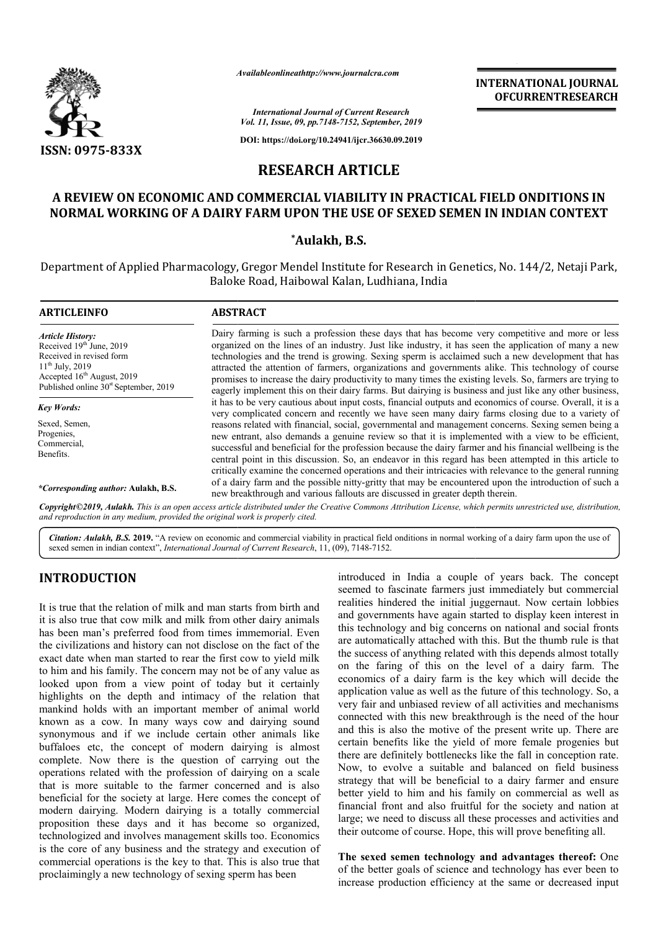

*Availableonlineathttp://www.journal Availableonlineathttp://www.journalcra.com*

*International Journal of Current Research Vol. 11, Issue, 09, pp.7148-7152, September, 2019*

**DOI: https://doi.org/10.24941/ijcr.36630.09.2019**

## **RESEARCH ARTICLE**

## **A REVIEW ON ECONOMIC AND COMMERCIAL VIABILITY IN PRACTICAL FIELD ONDITIONS IN**  A REVIEW ON ECONOMIC AND COMMERCIAL VIABILITY IN PRACTICAL FIELD ONDITIONS IN<br>NORMAL WORKING OF A DAIRY FARM UPON THE USE OF SEXED SEMEN IN INDIAN CONTEXT

### **\*Aulakh, B.S.**

Department of Applied Pharmacology, Gregor Mendel Institute for Research in Genetics, No. 144/2, Netaji Park, Baloke Road, Haibowal Kalan, Ludhiana, India

| <b>ARTICLEINFO</b>                                                                                                                                                                           | <b>ABSTRACT</b>                                                                                                                                                                                                                                                                                                                                                                                                                                                                                                                                                                                                                             |  |  |  |
|----------------------------------------------------------------------------------------------------------------------------------------------------------------------------------------------|---------------------------------------------------------------------------------------------------------------------------------------------------------------------------------------------------------------------------------------------------------------------------------------------------------------------------------------------------------------------------------------------------------------------------------------------------------------------------------------------------------------------------------------------------------------------------------------------------------------------------------------------|--|--|--|
| <b>Article History:</b><br>Received 19th June, 2019<br>Received in revised form<br>$11^{th}$ July, 2019<br>Accepted $16th$ August, 2019<br>Published online 30 <sup>st</sup> September, 2019 | Dairy farming is such a profession these days that has become very competitive and more or less<br>organized on the lines of an industry. Just like industry, it has seen the application of many a new<br>technologies and the trend is growing. Sexing sperm is acclaimed such a new development that has<br>attracted the attention of farmers, organizations and governments alike. This technology of course<br>promises to increase the dairy productivity to many times the existing levels. So, farmers are trying to<br>eagerly implement this on their dairy farms. But dairying is business and just like any other business,    |  |  |  |
| <b>Key Words:</b>                                                                                                                                                                            | it has to be very cautious about input costs, financial outputs and economics of course. Overall, it is a                                                                                                                                                                                                                                                                                                                                                                                                                                                                                                                                   |  |  |  |
| Sexed, Semen,<br>Progenies,<br>Commercial,<br>Benefits.                                                                                                                                      | very complicated concern and recently we have seen many dairy farms closing due to a variety of<br>reasons related with financial, social, governmental and management concerns. Sexing semen being a<br>new entrant, also demands a genuine review so that it is implemented with a view to be efficient,<br>successful and beneficial for the profession because the dairy farmer and his financial wellbeing is the<br>central point in this discussion. So, an endeavor in this regard has been attempted in this article to<br>critically examine the concerned operations and their intricacies with relevance to the general running |  |  |  |
| *Corresponding author: Aulakh, B.S.                                                                                                                                                          | of a dairy farm and the possible nitty-gritty that may be encountered upon the introduction of such a<br>new breakthrough and various fallouts are discussed in greater depth therein.                                                                                                                                                                                                                                                                                                                                                                                                                                                      |  |  |  |

Copyright©2019, Aulakh. This is an open access article distributed under the Creative Commons Attribution License, which permits unrestricted use, distribution, *and reproduction in any medium, provided the original work is properly cited.*

Citation: Aulakh, B.S. 2019. "A review on economic and commercial viability in practical field onditions in normal working of a dairy farm upon the use of sexed semen in indian context", *International Journal of Current Research* , 11, (09), 7148-7152.

# **INTRODUCTION**

It is true that the relation of milk and man starts from birth and it is also true that cow milk and milk from other dairy animals has been man's preferred food from times immemorial. Even the civilizations and history can not disclose on the fact of the exact date when man started to rear the first cow to yield milk to him and his family. The concern may not be of any value as looked upon from a view point of today but it certainly highlights on the depth and intimacy of the relation that mankind holds with an important member of animal world known as a cow. In many ways cow and dairying sound synonymous and if we include certain other animals like buffaloes etc, the concept of modern dairying is almost complete. Now there is the question of carrying out the operations related with the profession of dairying on a scale that is more suitable to the farmer concerned and is also beneficial for the society at large. Here comes the concept of modern dairying. Modern dairying is a totally commercial proposition these days and it has become so organized, technologized and involves management skills too. Economics is the core of any business and the strategy and execution of commercial operations is the key to that. This is also true that proclaimingly a new technology of sexing sperm has been In the depth and intimacy of the relation that<br>Ids with an important member of animal world<br>cow. In many ways cow and dairying sound<br>and if we include certain other animals like<br>c, the concept of modern dairying is almost

**DUCTION**<br>
introduced in India a couple of years back. The concept<br>
matter the relation of milk and man starts from birth and<br>
we seemel to fascinate farmers just immediately but commercial<br>
matter that coun milk from othe seemed to fascinate farmers just immediately but commercial introduced in India a couple of years back. The concept seemed to fascinate farmers just immediately but commercial realities hindered the initial juggernaut. Now certain lobbies and governments have again started to display keen interest in this technology and big concerns on national and social fronts are automatically attached with this. But the thumb rule is that the success of anything related with this depends almost totally on the faring of this on the level of a dairy farm. The economics of a dairy farm is the key which will decide the application value as well as the future of this technology. So, a very fair and unbiased review of all activities and mechani connected with this new breakthrough is the need of the hour and this is also the motive of the present write up. There are certain benefits like the yield of more female progenies but there are definitely bottlenecks like the fall in conception rate. Now, to evolve a suitable and balanced on field business strategy that will be beneficial to a dairy farmer and ensure better yield to him and his family on commercial as well as financial front and also fruitful for the society and nation at large; we need to discuss all these processes and activities and their outcome of course. Hope, this will prove benefiting all. governments have again started to display keen interest in<br>technology and big concerns on national and social fronts<br>automatically attached with this. But the thumb rule is that<br>success of anything related with this depend decall as of a dairy farm is the key which will decide the pon value as well as the future of this technology. So, a and unbiased review of all activities and mechanisms and this is also the motive of the present write up. There are certain benefits like the yield of more female progenies but there are definitely bottlenecks like the fall in conception rate. Now, to evolve a suitable and b **INTERNATIONAL JOURNAL COCURRENT CONSTANT CONTINUME CONTINUME CONTINUME CONTINUME CONTINUME SERVICE TREAT AND SERVICE IN SERVICE IN SERVICE IN SERVICE IN SERVICE IN SERVICE IN SERVICE IN a second the application of many a** 

**The sexed semen technology and advantages thereof:** One of the better goals of science and technology has ever been to increase production efficiency at the same or decreased input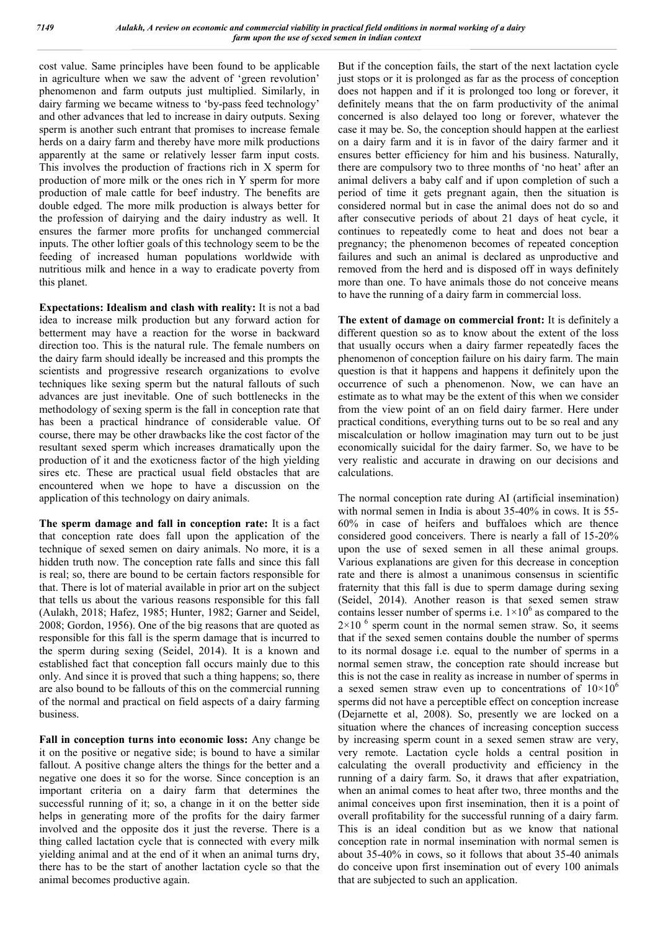cost value. Same principles have been found to be applicable in agriculture when we saw the advent of 'green revolution' phenomenon and farm outputs just multiplied. Similarly, in dairy farming we became witness to 'by-pass feed technology' and other advances that led to increase in dairy outputs. Sexing sperm is another such entrant that promises to increase female herds on a dairy farm and thereby have more milk productions apparently at the same or relatively lesser farm input costs. This involves the production of fractions rich in X sperm for production of more milk or the ones rich in Y sperm for more production of male cattle for beef industry. The benefits are double edged. The more milk production is always better for the profession of dairying and the dairy industry as well. It ensures the farmer more profits for unchanged commercial inputs. The other loftier goals of this technology seem to be the feeding of increased human populations worldwide with nutritious milk and hence in a way to eradicate poverty from this planet.

**Expectations: Idealism and clash with reality:** It is not a bad idea to increase milk production but any forward action for betterment may have a reaction for the worse in backward direction too. This is the natural rule. The female numbers on the dairy farm should ideally be increased and this prompts the scientists and progressive research organizations to evolve techniques like sexing sperm but the natural fallouts of such advances are just inevitable. One of such bottlenecks in the methodology of sexing sperm is the fall in conception rate that has been a practical hindrance of considerable value. Of course, there may be other drawbacks like the cost factor of the resultant sexed sperm which increases dramatically upon the production of it and the exoticness factor of the high yielding sires etc. These are practical usual field obstacles that are encountered when we hope to have a discussion on the application of this technology on dairy animals.

**The sperm damage and fall in conception rate:** It is a fact that conception rate does fall upon the application of the technique of sexed semen on dairy animals. No more, it is a hidden truth now. The conception rate falls and since this fall is real; so, there are bound to be certain factors responsible for that. There is lot of material available in prior art on the subject that tells us about the various reasons responsible for this fall (Aulakh, 2018; Hafez, 1985; Hunter, 1982; Garner and Seidel, 2008; Gordon, 1956). One of the big reasons that are quoted as responsible for this fall is the sperm damage that is incurred to the sperm during sexing (Seidel, 2014). It is a known and established fact that conception fall occurs mainly due to this only. And since it is proved that such a thing happens; so, there are also bound to be fallouts of this on the commercial running of the normal and practical on field aspects of a dairy farming business.

**Fall in conception turns into economic loss:** Any change be it on the positive or negative side; is bound to have a similar fallout. A positive change alters the things for the better and a negative one does it so for the worse. Since conception is an important criteria on a dairy farm that determines the successful running of it; so, a change in it on the better side helps in generating more of the profits for the dairy farmer involved and the opposite dos it just the reverse. There is a thing called lactation cycle that is connected with every milk yielding animal and at the end of it when an animal turns dry, there has to be the start of another lactation cycle so that the animal becomes productive again.

But if the conception fails, the start of the next lactation cycle just stops or it is prolonged as far as the process of conception does not happen and if it is prolonged too long or forever, it definitely means that the on farm productivity of the animal concerned is also delayed too long or forever, whatever the case it may be. So, the conception should happen at the earliest on a dairy farm and it is in favor of the dairy farmer and it ensures better efficiency for him and his business. Naturally, there are compulsory two to three months of 'no heat' after an animal delivers a baby calf and if upon completion of such a period of time it gets pregnant again, then the situation is considered normal but in case the animal does not do so and after consecutive periods of about 21 days of heat cycle, it continues to repeatedly come to heat and does not bear a pregnancy; the phenomenon becomes of repeated conception failures and such an animal is declared as unproductive and removed from the herd and is disposed off in ways definitely more than one. To have animals those do not conceive means to have the running of a dairy farm in commercial loss.

**The extent of damage on commercial front:** It is definitely a different question so as to know about the extent of the loss that usually occurs when a dairy farmer repeatedly faces the phenomenon of conception failure on his dairy farm. The main question is that it happens and happens it definitely upon the occurrence of such a phenomenon. Now, we can have an estimate as to what may be the extent of this when we consider from the view point of an on field dairy farmer. Here under practical conditions, everything turns out to be so real and any miscalculation or hollow imagination may turn out to be just economically suicidal for the dairy farmer. So, we have to be very realistic and accurate in drawing on our decisions and calculations.

The normal conception rate during AI (artificial insemination) with normal semen in India is about 35-40% in cows. It is 55- 60% in case of heifers and buffaloes which are thence considered good conceivers. There is nearly a fall of 15-20% upon the use of sexed semen in all these animal groups. Various explanations are given for this decrease in conception rate and there is almost a unanimous consensus in scientific fraternity that this fall is due to sperm damage during sexing (Seidel, 2014). Another reason is that sexed semen straw contains lesser number of sperms i.e.  $1\times10^6$  as compared to the  $2\times10^{-6}$  sperm count in the normal semen straw. So, it seems that if the sexed semen contains double the number of sperms to its normal dosage i.e. equal to the number of sperms in a normal semen straw, the conception rate should increase but this is not the case in reality as increase in number of sperms in a sexed semen straw even up to concentrations of  $10\times10^6$ sperms did not have a perceptible effect on conception increase (Dejarnette et al, 2008). So, presently we are locked on a situation where the chances of increasing conception success by increasing sperm count in a sexed semen straw are very, very remote. Lactation cycle holds a central position in calculating the overall productivity and efficiency in the running of a dairy farm. So, it draws that after expatriation, when an animal comes to heat after two, three months and the animal conceives upon first insemination, then it is a point of overall profitability for the successful running of a dairy farm. This is an ideal condition but as we know that national conception rate in normal insemination with normal semen is about 35-40% in cows, so it follows that about 35-40 animals do conceive upon first insemination out of every 100 animals that are subjected to such an application.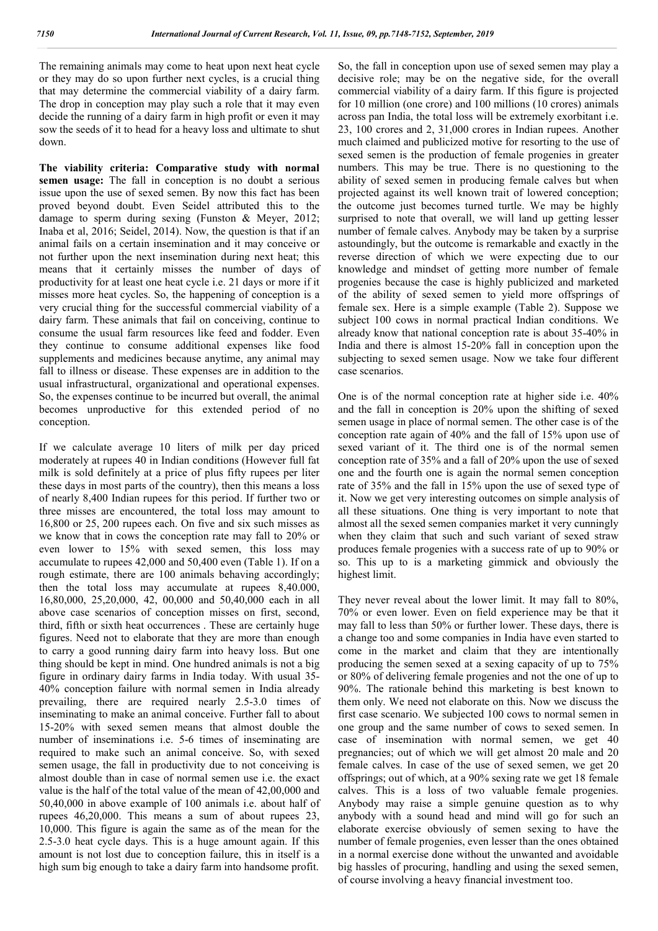The remaining animals may come to heat upon next heat cycle or they may do so upon further next cycles, is a crucial thing that may determine the commercial viability of a dairy farm. The drop in conception may play such a role that it may even decide the running of a dairy farm in high profit or even it may sow the seeds of it to head for a heavy loss and ultimate to shut down.

**The viability criteria: Comparative study with normal semen usage:** The fall in conception is no doubt a serious issue upon the use of sexed semen. By now this fact has been proved beyond doubt. Even Seidel attributed this to the damage to sperm during sexing (Funston & Meyer, 2012; Inaba et al, 2016; Seidel, 2014). Now, the question is that if an animal fails on a certain insemination and it may conceive or not further upon the next insemination during next heat; this means that it certainly misses the number of days of productivity for at least one heat cycle i.e. 21 days or more if it misses more heat cycles. So, the happening of conception is a very crucial thing for the successful commercial viability of a dairy farm. These animals that fail on conceiving, continue to consume the usual farm resources like feed and fodder. Even they continue to consume additional expenses like food supplements and medicines because anytime, any animal may fall to illness or disease. These expenses are in addition to the usual infrastructural, organizational and operational expenses. So, the expenses continue to be incurred but overall, the animal becomes unproductive for this extended period of no conception.

If we calculate average 10 liters of milk per day priced moderately at rupees 40 in Indian conditions (However full fat milk is sold definitely at a price of plus fifty rupees per liter these days in most parts of the country), then this means a loss of nearly 8,400 Indian rupees for this period. If further two or three misses are encountered, the total loss may amount to 16,800 or 25, 200 rupees each. On five and six such misses as we know that in cows the conception rate may fall to 20% or even lower to 15% with sexed semen, this loss may accumulate to rupees 42,000 and 50,400 even (Table 1). If on a rough estimate, there are 100 animals behaving accordingly; then the total loss may accumulate at rupees 8,40.000, 16,80,000, 25,20,000, 42, 00,000 and 50,40,000 each in all above case scenarios of conception misses on first, second, third, fifth or sixth heat occurrences . These are certainly huge figures. Need not to elaborate that they are more than enough to carry a good running dairy farm into heavy loss. But one thing should be kept in mind. One hundred animals is not a big figure in ordinary dairy farms in India today. With usual 35- 40% conception failure with normal semen in India already prevailing, there are required nearly 2.5-3.0 times of inseminating to make an animal conceive. Further fall to about 15-20% with sexed semen means that almost double the number of inseminations i.e. 5-6 times of inseminating are required to make such an animal conceive. So, with sexed semen usage, the fall in productivity due to not conceiving is almost double than in case of normal semen use i.e. the exact value is the half of the total value of the mean of 42,00,000 and 50,40,000 in above example of 100 animals i.e. about half of rupees 46,20,000. This means a sum of about rupees 23, 10,000. This figure is again the same as of the mean for the 2.5-3.0 heat cycle days. This is a huge amount again. If this amount is not lost due to conception failure, this in itself is a high sum big enough to take a dairy farm into handsome profit.

So, the fall in conception upon use of sexed semen may play a decisive role; may be on the negative side, for the overall commercial viability of a dairy farm. If this figure is projected for 10 million (one crore) and 100 millions (10 crores) animals across pan India, the total loss will be extremely exorbitant i.e. 23, 100 crores and 2, 31,000 crores in Indian rupees. Another much claimed and publicized motive for resorting to the use of sexed semen is the production of female progenies in greater numbers. This may be true. There is no questioning to the ability of sexed semen in producing female calves but when projected against its well known trait of lowered conception; the outcome just becomes turned turtle. We may be highly surprised to note that overall, we will land up getting lesser number of female calves. Anybody may be taken by a surprise astoundingly, but the outcome is remarkable and exactly in the reverse direction of which we were expecting due to our knowledge and mindset of getting more number of female progenies because the case is highly publicized and marketed of the ability of sexed semen to yield more offsprings of female sex. Here is a simple example (Table 2). Suppose we subject 100 cows in normal practical Indian conditions. We already know that national conception rate is about 35-40% in India and there is almost 15-20% fall in conception upon the subjecting to sexed semen usage. Now we take four different case scenarios.

One is of the normal conception rate at higher side i.e. 40% and the fall in conception is 20% upon the shifting of sexed semen usage in place of normal semen. The other case is of the conception rate again of 40% and the fall of 15% upon use of sexed variant of it. The third one is of the normal semen conception rate of 35% and a fall of 20% upon the use of sexed one and the fourth one is again the normal semen conception rate of 35% and the fall in 15% upon the use of sexed type of it. Now we get very interesting outcomes on simple analysis of all these situations. One thing is very important to note that almost all the sexed semen companies market it very cunningly when they claim that such and such variant of sexed straw produces female progenies with a success rate of up to 90% or so. This up to is a marketing gimmick and obviously the highest limit.

They never reveal about the lower limit. It may fall to 80%, 70% or even lower. Even on field experience may be that it may fall to less than 50% or further lower. These days, there is a change too and some companies in India have even started to come in the market and claim that they are intentionally producing the semen sexed at a sexing capacity of up to 75% or 80% of delivering female progenies and not the one of up to 90%. The rationale behind this marketing is best known to them only. We need not elaborate on this. Now we discuss the first case scenario. We subjected 100 cows to normal semen in one group and the same number of cows to sexed semen. In case of insemination with normal semen, we get 40 pregnancies; out of which we will get almost 20 male and 20 female calves. In case of the use of sexed semen, we get 20 offsprings; out of which, at a 90% sexing rate we get 18 female calves. This is a loss of two valuable female progenies. Anybody may raise a simple genuine question as to why anybody with a sound head and mind will go for such an elaborate exercise obviously of semen sexing to have the number of female progenies, even lesser than the ones obtained in a normal exercise done without the unwanted and avoidable big hassles of procuring, handling and using the sexed semen, of course involving a heavy financial investment too.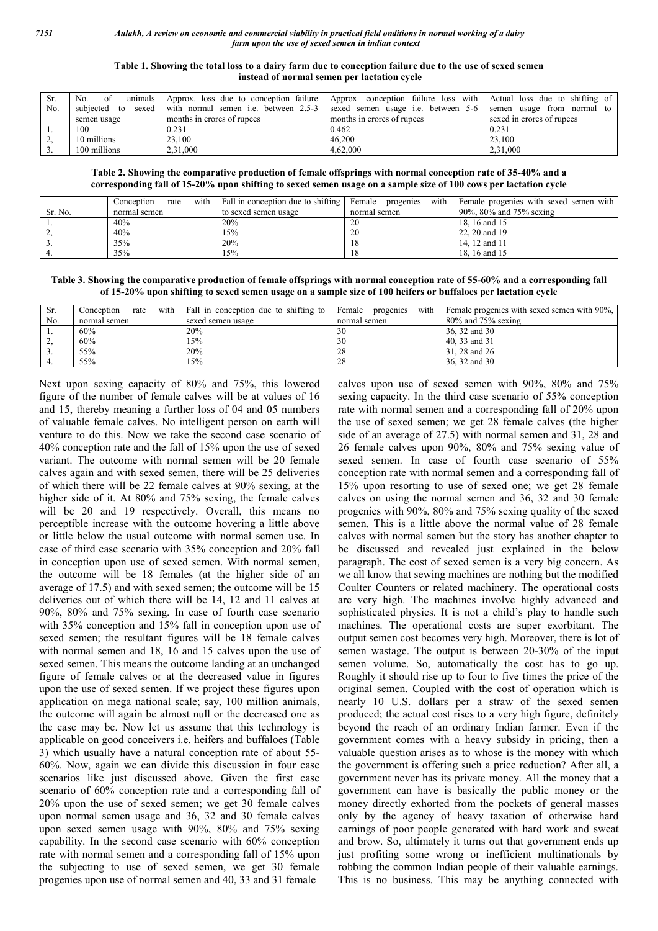#### **Table 1. Showing the total loss to a dairy farm due to conception failure due to the use of sexed semen instead of normal semen per lactation cycle**

| Sr. | animals<br>No.<br>-of | Approx. loss due to conception failure                  | Approx. conception failure loss with Actual loss due to shifting of |                            |
|-----|-----------------------|---------------------------------------------------------|---------------------------------------------------------------------|----------------------------|
| No. |                       | subjected to sexed with normal semen i.e. between 2.5-3 | sexed semen usage i.e. between 5-6                                  | semen usage from normal to |
|     | semen usage           | months in crores of rupees                              | months in crores of rupees                                          | sexed in crores of rupees  |
|     | 100                   | 0.231                                                   | 0.462                                                               | 0.231                      |
|     | 10 millions           | 23.100                                                  | 46,200                                                              | 23.100                     |
| J.  | 100 millions          | 2,31,000                                                | 4,62,000                                                            | 2.31.000                   |

#### **Table 2. Showing the comparative production of female offsprings with normal conception rate of 35-40% and a corresponding fall of 15-20% upon shifting to sexed semen usage on a sample size of 100 cows per lactation cycle**

|         | Conception<br>rate | with Fall in conception due to shifting | with<br>Female<br>progenies | Female progenies with sexed semen with |
|---------|--------------------|-----------------------------------------|-----------------------------|----------------------------------------|
| Sr. No. | normal semen       | to sexed semen usage                    | normal semen                | 90%, 80% and 75% sexing                |
|         | 40%                | 20%                                     | 20                          | 18, 16 and 15                          |
|         | 40%                | 15%                                     | 20                          | 22, 20 and 19                          |
|         | 35%                | 20%                                     | 8                           | 14.12 and 11                           |
|         | 35%                | 15%                                     |                             | 18.16 and 15                           |

**Table 3. Showing the comparative production of female offsprings with normal conception rate of 55-60% and a corresponding fall of 15-20% upon shifting to sexed semen usage on a sample size of 100 heifers or buffaloes per lactation cycle**

| Sr. | with<br>rate<br>Conception | Fall in conception due to shifting to | with<br>Female<br>progenies | Female progenies with sexed semen with 90%. |
|-----|----------------------------|---------------------------------------|-----------------------------|---------------------------------------------|
| No. | normal semen               | sexed semen usage                     | normal semen                | $80\%$ and 75% sexing                       |
|     | 60%                        | 20%                                   | 30                          | 36, 32 and 30                               |
|     | 60%                        | l 5%                                  | 30                          | 40, 33 and 31                               |
|     | 55%                        | 20%                                   | 28                          | 31, 28 and 26                               |
|     | 55%                        | l 5%                                  | 28                          | 36, 32 and 30                               |

Next upon sexing capacity of 80% and 75%, this lowered figure of the number of female calves will be at values of 16 and 15, thereby meaning a further loss of 04 and 05 numbers of valuable female calves. No intelligent person on earth will venture to do this. Now we take the second case scenario of 40% conception rate and the fall of 15% upon the use of sexed variant. The outcome with normal semen will be 20 female calves again and with sexed semen, there will be 25 deliveries of which there will be 22 female calves at 90% sexing, at the higher side of it. At 80% and 75% sexing, the female calves will be 20 and 19 respectively. Overall, this means no perceptible increase with the outcome hovering a little above or little below the usual outcome with normal semen use. In case of third case scenario with 35% conception and 20% fall in conception upon use of sexed semen. With normal semen, the outcome will be 18 females (at the higher side of an average of 17.5) and with sexed semen; the outcome will be 15 deliveries out of which there will be 14, 12 and 11 calves at 90%, 80% and 75% sexing. In case of fourth case scenario with 35% conception and 15% fall in conception upon use of sexed semen; the resultant figures will be 18 female calves with normal semen and 18, 16 and 15 calves upon the use of sexed semen. This means the outcome landing at an unchanged figure of female calves or at the decreased value in figures upon the use of sexed semen. If we project these figures upon application on mega national scale; say, 100 million animals, the outcome will again be almost null or the decreased one as the case may be. Now let us assume that this technology is applicable on good conceivers i.e. heifers and buffaloes (Table 3) which usually have a natural conception rate of about 55- 60%. Now, again we can divide this discussion in four case scenarios like just discussed above. Given the first case scenario of 60% conception rate and a corresponding fall of 20% upon the use of sexed semen; we get 30 female calves upon normal semen usage and 36, 32 and 30 female calves upon sexed semen usage with 90%, 80% and 75% sexing capability. In the second case scenario with 60% conception rate with normal semen and a corresponding fall of 15% upon the subjecting to use of sexed semen, we get 30 female progenies upon use of normal semen and 40, 33 and 31 female

calves upon use of sexed semen with 90%, 80% and 75% sexing capacity. In the third case scenario of 55% conception rate with normal semen and a corresponding fall of 20% upon the use of sexed semen; we get 28 female calves (the higher side of an average of 27.5) with normal semen and 31, 28 and 26 female calves upon 90%, 80% and 75% sexing value of sexed semen. In case of fourth case scenario of 55% conception rate with normal semen and a corresponding fall of 15% upon resorting to use of sexed one; we get 28 female calves on using the normal semen and 36, 32 and 30 female progenies with 90%, 80% and 75% sexing quality of the sexed semen. This is a little above the normal value of 28 female calves with normal semen but the story has another chapter to be discussed and revealed just explained in the below paragraph. The cost of sexed semen is a very big concern. As we all know that sewing machines are nothing but the modified Coulter Counters or related machinery. The operational costs are very high. The machines involve highly advanced and sophisticated physics. It is not a child's play to handle such machines. The operational costs are super exorbitant. The output semen cost becomes very high. Moreover, there is lot of semen wastage. The output is between 20-30% of the input semen volume. So, automatically the cost has to go up. Roughly it should rise up to four to five times the price of the original semen. Coupled with the cost of operation which is nearly 10 U.S. dollars per a straw of the sexed semen produced; the actual cost rises to a very high figure, definitely beyond the reach of an ordinary Indian farmer. Even if the government comes with a heavy subsidy in pricing, then a valuable question arises as to whose is the money with which the government is offering such a price reduction? After all, a government never has its private money. All the money that a government can have is basically the public money or the money directly exhorted from the pockets of general masses only by the agency of heavy taxation of otherwise hard earnings of poor people generated with hard work and sweat and brow. So, ultimately it turns out that government ends up just profiting some wrong or inefficient multinationals by robbing the common Indian people of their valuable earnings. This is no business. This may be anything connected with